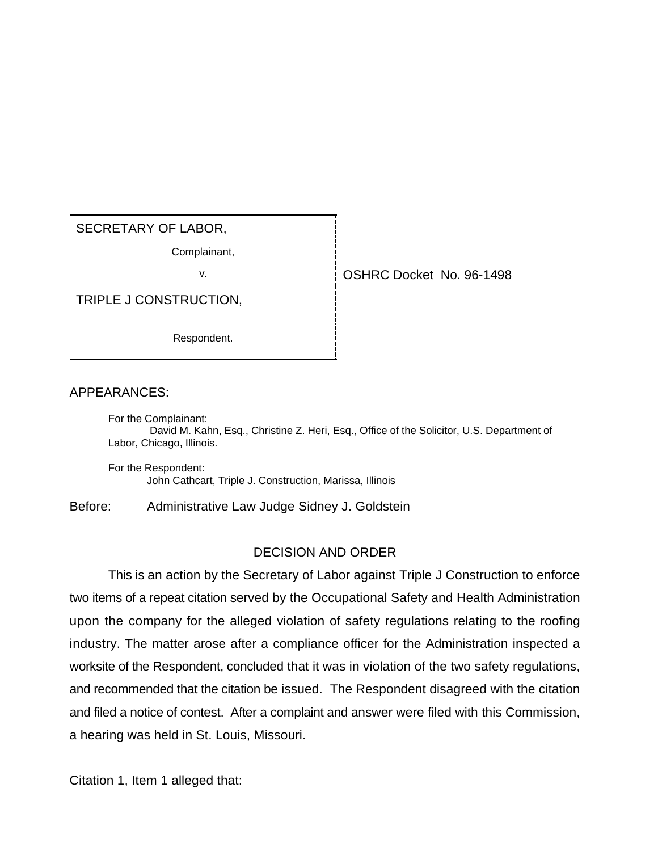## SECRETARY OF LABOR,

Complainant,

TRIPLE J CONSTRUCTION,

Respondent.

v. OSHRC Docket No. 96-1498

## APPEARANCES:

For the Complainant: David M. Kahn, Esq., Christine Z. Heri, Esq., Office of the Solicitor, U.S. Department of Labor, Chicago, Illinois.

For the Respondent: John Cathcart, Triple J. Construction, Marissa, Illinois

Before: Administrative Law Judge Sidney J. Goldstein

## DECISION AND ORDER

This is an action by the Secretary of Labor against Triple J Construction to enforce two items of a repeat citation served by the Occupational Safety and Health Administration upon the company for the alleged violation of safety regulations relating to the roofing industry. The matter arose after a compliance officer for the Administration inspected a worksite of the Respondent, concluded that it was in violation of the two safety regulations, and recommended that the citation be issued. The Respondent disagreed with the citation and filed a notice of contest. After a complaint and answer were filed with this Commission, a hearing was held in St. Louis, Missouri.

Citation 1, Item 1 alleged that: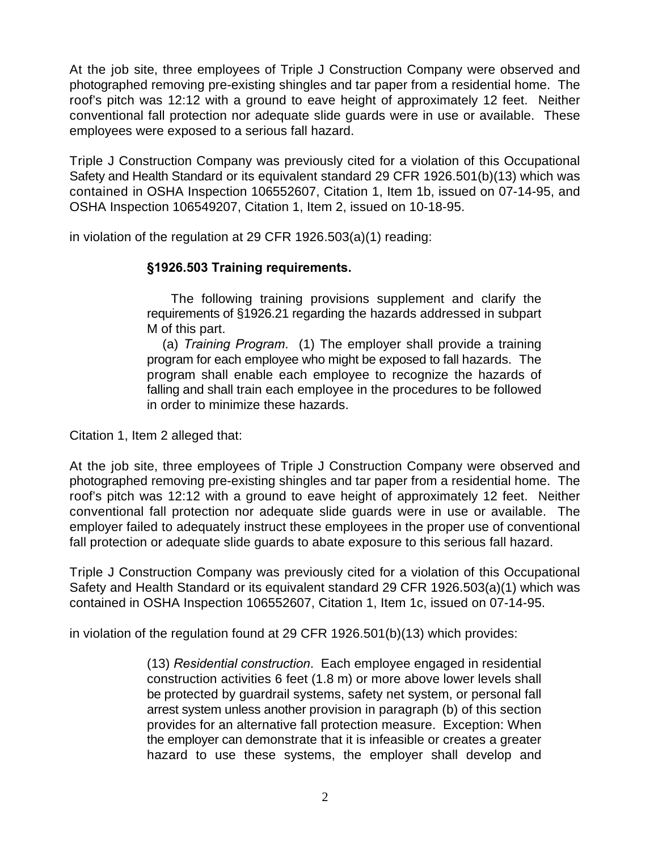At the job site, three employees of Triple J Construction Company were observed and photographed removing pre-existing shingles and tar paper from a residential home. The roof's pitch was 12:12 with a ground to eave height of approximately 12 feet. Neither conventional fall protection nor adequate slide guards were in use or available. These employees were exposed to a serious fall hazard.

Triple J Construction Company was previously cited for a violation of this Occupational Safety and Health Standard or its equivalent standard 29 CFR 1926.501(b)(13) which was contained in OSHA Inspection 106552607, Citation 1, Item 1b, issued on 07-14-95, and OSHA Inspection 106549207, Citation 1, Item 2, issued on 10-18-95.

in violation of the regulation at 29 CFR 1926.503(a)(1) reading:

## **§1926.503 Training requirements.**

 The following training provisions supplement and clarify the requirements of §1926.21 regarding the hazards addressed in subpart M of this part.

 (a) *Training Program*. (1) The employer shall provide a training program for each employee who might be exposed to fall hazards. The program shall enable each employee to recognize the hazards of falling and shall train each employee in the procedures to be followed in order to minimize these hazards.

Citation 1, Item 2 alleged that:

At the job site, three employees of Triple J Construction Company were observed and photographed removing pre-existing shingles and tar paper from a residential home. The roof's pitch was 12:12 with a ground to eave height of approximately 12 feet. Neither conventional fall protection nor adequate slide guards were in use or available. The employer failed to adequately instruct these employees in the proper use of conventional fall protection or adequate slide guards to abate exposure to this serious fall hazard.

Triple J Construction Company was previously cited for a violation of this Occupational Safety and Health Standard or its equivalent standard 29 CFR 1926.503(a)(1) which was contained in OSHA Inspection 106552607, Citation 1, Item 1c, issued on 07-14-95.

in violation of the regulation found at 29 CFR 1926.501(b)(13) which provides:

(13) *Residential construction*. Each employee engaged in residential construction activities 6 feet (1.8 m) or more above lower levels shall be protected by guardrail systems, safety net system, or personal fall arrest system unless another provision in paragraph (b) of this section provides for an alternative fall protection measure. Exception: When the employer can demonstrate that it is infeasible or creates a greater hazard to use these systems, the employer shall develop and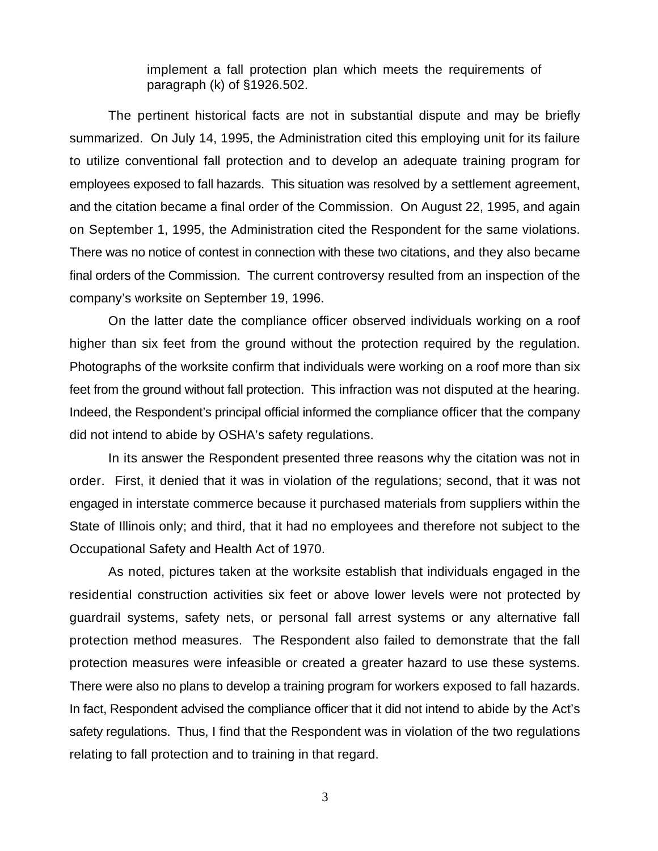implement a fall protection plan which meets the requirements of paragraph (k) of §1926.502.

The pertinent historical facts are not in substantial dispute and may be briefly summarized. On July 14, 1995, the Administration cited this employing unit for its failure to utilize conventional fall protection and to develop an adequate training program for employees exposed to fall hazards. This situation was resolved by a settlement agreement, and the citation became a final order of the Commission. On August 22, 1995, and again on September 1, 1995, the Administration cited the Respondent for the same violations. There was no notice of contest in connection with these two citations, and they also became final orders of the Commission. The current controversy resulted from an inspection of the company's worksite on September 19, 1996.

On the latter date the compliance officer observed individuals working on a roof higher than six feet from the ground without the protection required by the regulation. Photographs of the worksite confirm that individuals were working on a roof more than six feet from the ground without fall protection. This infraction was not disputed at the hearing. Indeed, the Respondent's principal official informed the compliance officer that the company did not intend to abide by OSHA's safety regulations.

In its answer the Respondent presented three reasons why the citation was not in order. First, it denied that it was in violation of the regulations; second, that it was not engaged in interstate commerce because it purchased materials from suppliers within the State of Illinois only; and third, that it had no employees and therefore not subject to the Occupational Safety and Health Act of 1970.

As noted, pictures taken at the worksite establish that individuals engaged in the residential construction activities six feet or above lower levels were not protected by guardrail systems, safety nets, or personal fall arrest systems or any alternative fall protection method measures. The Respondent also failed to demonstrate that the fall protection measures were infeasible or created a greater hazard to use these systems. There were also no plans to develop a training program for workers exposed to fall hazards. In fact, Respondent advised the compliance officer that it did not intend to abide by the Act's safety regulations. Thus, I find that the Respondent was in violation of the two regulations relating to fall protection and to training in that regard.

3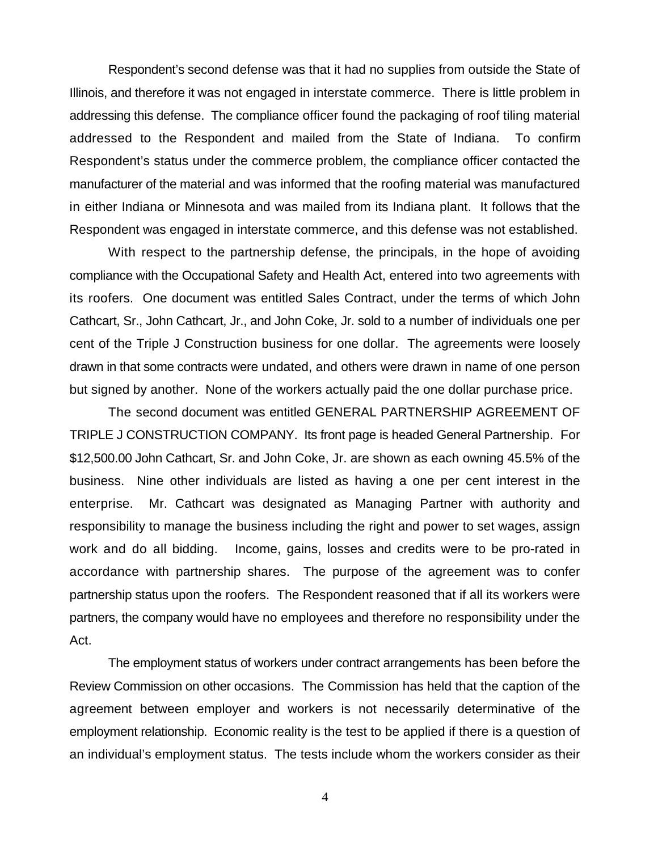Respondent's second defense was that it had no supplies from outside the State of Illinois, and therefore it was not engaged in interstate commerce. There is little problem in addressing this defense. The compliance officer found the packaging of roof tiling material addressed to the Respondent and mailed from the State of Indiana. To confirm Respondent's status under the commerce problem, the compliance officer contacted the manufacturer of the material and was informed that the roofing material was manufactured in either Indiana or Minnesota and was mailed from its Indiana plant. It follows that the Respondent was engaged in interstate commerce, and this defense was not established.

With respect to the partnership defense, the principals, in the hope of avoiding compliance with the Occupational Safety and Health Act, entered into two agreements with its roofers. One document was entitled Sales Contract, under the terms of which John Cathcart, Sr., John Cathcart, Jr., and John Coke, Jr. sold to a number of individuals one per cent of the Triple J Construction business for one dollar. The agreements were loosely drawn in that some contracts were undated, and others were drawn in name of one person but signed by another. None of the workers actually paid the one dollar purchase price.

The second document was entitled GENERAL PARTNERSHIP AGREEMENT OF TRIPLE J CONSTRUCTION COMPANY. Its front page is headed General Partnership. For \$12,500.00 John Cathcart, Sr. and John Coke, Jr. are shown as each owning 45.5% of the business. Nine other individuals are listed as having a one per cent interest in the enterprise. Mr. Cathcart was designated as Managing Partner with authority and responsibility to manage the business including the right and power to set wages, assign work and do all bidding. Income, gains, losses and credits were to be pro-rated in accordance with partnership shares. The purpose of the agreement was to confer partnership status upon the roofers. The Respondent reasoned that if all its workers were partners, the company would have no employees and therefore no responsibility under the Act.

The employment status of workers under contract arrangements has been before the Review Commission on other occasions. The Commission has held that the caption of the agreement between employer and workers is not necessarily determinative of the employment relationship. Economic reality is the test to be applied if there is a question of an individual's employment status. The tests include whom the workers consider as their

4